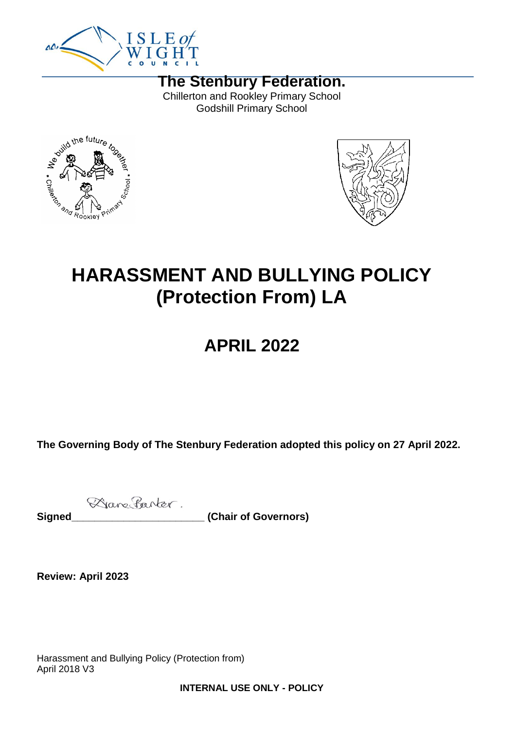

**The Stenbury Federation.** Chillerton and Rookley Primary School Godshill Primary School





# **HARASSMENT AND BULLYING POLICY (Protection From) LA**

## **APRIL 2022**

**The Governing Body of The Stenbury Federation adopted this policy on 27 April 2022.**

Dane Parter. Signed **Signed** (Chair of Governors)

**Review: April 2023**

Harassment and Bullying Policy (Protection from) April 2018 V3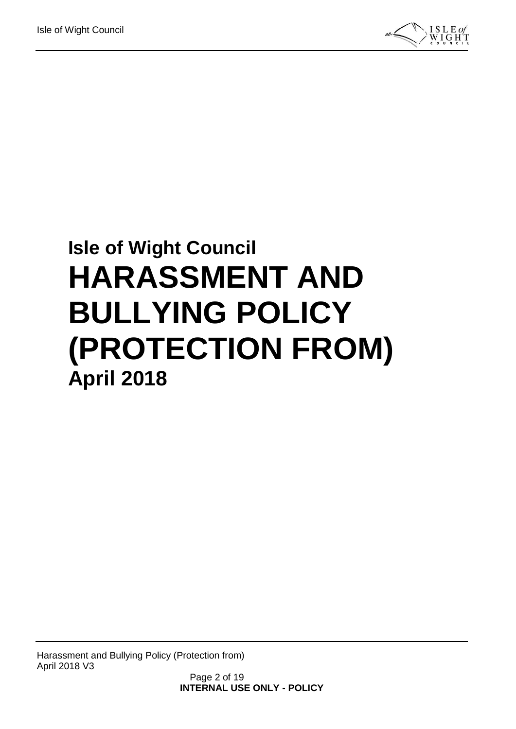

# **Isle of Wight Council HARASSMENT AND BULLYING POLICY (PROTECTION FROM) April 2018**

Harassment and Bullying Policy (Protection from) April 2018 V3

Page 2 of 19 **INTERNAL USE ONLY - POLICY**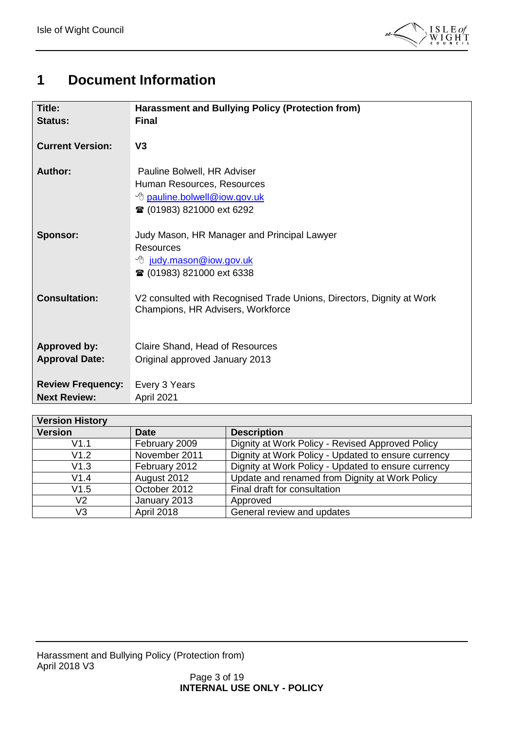

### <span id="page-2-0"></span>**1 Document Information**

| <b>Title:</b><br><b>Status:</b>                 | Harassment and Bullying Policy (Protection from)<br><b>Final</b>                                                                         |  |
|-------------------------------------------------|------------------------------------------------------------------------------------------------------------------------------------------|--|
| <b>Current Version:</b>                         | V <sub>3</sub>                                                                                                                           |  |
| <b>Author:</b>                                  | Pauline Bolwell, HR Adviser<br>Human Resources, Resources<br><sup>t</sup> pauline.bolwell@iow.gov.uk<br><b>■ (01983) 821000 ext 6292</b> |  |
| Sponsor:                                        | Judy Mason, HR Manager and Principal Lawyer<br>Resources<br><sup>B</sup> judy.mason@iow.gov.uk<br><b>■ (01983) 821000 ext 6338</b>       |  |
| <b>Consultation:</b>                            | V2 consulted with Recognised Trade Unions, Directors, Dignity at Work<br>Champions, HR Advisers, Workforce                               |  |
| <b>Approved by:</b><br><b>Approval Date:</b>    | Claire Shand, Head of Resources<br>Original approved January 2013                                                                        |  |
| <b>Review Frequency:</b><br><b>Next Review:</b> | Every 3 Years<br>April 2021                                                                                                              |  |

| <b>Version History</b> |                                                                                                                       |                                                     |  |  |  |
|------------------------|-----------------------------------------------------------------------------------------------------------------------|-----------------------------------------------------|--|--|--|
| <b>Version</b>         | <b>Date</b>                                                                                                           | <b>Description</b>                                  |  |  |  |
| V1.1                   | February 2009                                                                                                         | Dignity at Work Policy - Revised Approved Policy    |  |  |  |
| November 2011<br>V1.2  |                                                                                                                       | Dignity at Work Policy - Updated to ensure currency |  |  |  |
| V1.3                   | February 2012                                                                                                         | Dignity at Work Policy - Updated to ensure currency |  |  |  |
| V1.4                   | Update and renamed from Dignity at Work Policy<br>August 2012<br>Final draft for consultation<br>October 2012<br>V1.5 |                                                     |  |  |  |
|                        |                                                                                                                       |                                                     |  |  |  |
| V2                     | January 2013                                                                                                          | Approved                                            |  |  |  |
| V3                     | April 2018                                                                                                            | General review and updates                          |  |  |  |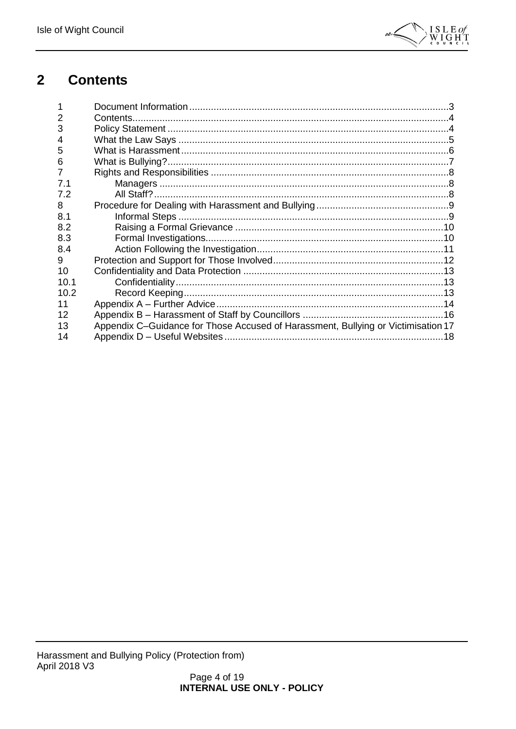

#### <span id="page-3-0"></span> $\overline{2}$ **Contents**

| 3    |                                                                                   |  |
|------|-----------------------------------------------------------------------------------|--|
| 4    |                                                                                   |  |
| 5    |                                                                                   |  |
| 6    |                                                                                   |  |
|      |                                                                                   |  |
| 7.1  |                                                                                   |  |
| 7.2  |                                                                                   |  |
| 8    |                                                                                   |  |
| 8.1  |                                                                                   |  |
| 8.2  |                                                                                   |  |
| 8.3  |                                                                                   |  |
| 8.4  |                                                                                   |  |
| 9    |                                                                                   |  |
| 10   |                                                                                   |  |
| 10.1 |                                                                                   |  |
| 10.2 |                                                                                   |  |
| 11   |                                                                                   |  |
| 12   |                                                                                   |  |
| 13   | Appendix C-Guidance for Those Accused of Harassment, Bullying or Victimisation 17 |  |
| 14   |                                                                                   |  |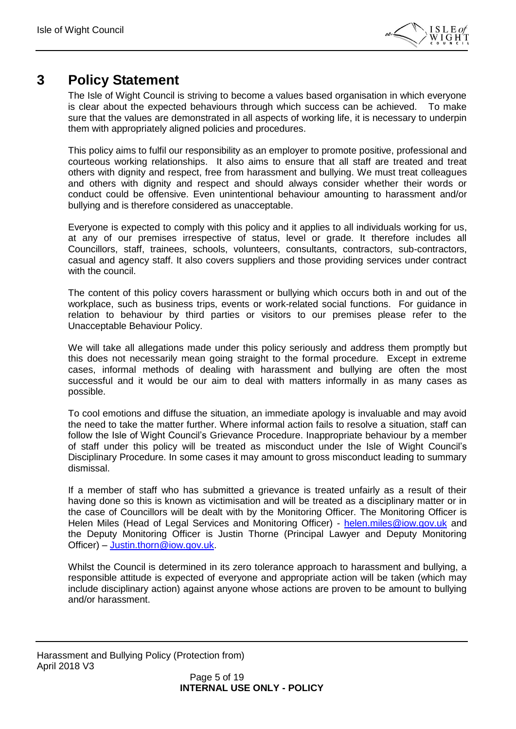

### <span id="page-4-0"></span>**3 Policy Statement**

The Isle of Wight Council is striving to become a values based organisation in which everyone is clear about the expected behaviours through which success can be achieved. To make sure that the values are demonstrated in all aspects of working life, it is necessary to underpin them with appropriately aligned policies and procedures.

This policy aims to fulfil our responsibility as an employer to promote positive, professional and courteous working relationships. It also aims to ensure that all staff are treated and treat others with dignity and respect, free from harassment and bullying. We must treat colleagues and others with dignity and respect and should always consider whether their words or conduct could be offensive. Even unintentional behaviour amounting to harassment and/or bullying and is therefore considered as unacceptable.

Everyone is expected to comply with this policy and it applies to all individuals working for us, at any of our premises irrespective of status, level or grade. It therefore includes all Councillors, staff, trainees, schools, volunteers, consultants, contractors, sub-contractors, casual and agency staff. It also covers suppliers and those providing services under contract with the council.

The content of this policy covers harassment or bullying which occurs both in and out of the workplace, such as business trips, events or work-related social functions. For guidance in relation to behaviour by third parties or visitors to our premises please refer to the Unacceptable Behaviour Policy.

We will take all allegations made under this policy seriously and address them promptly but this does not necessarily mean going straight to the formal procedure. Except in extreme cases, informal methods of dealing with harassment and bullying are often the most successful and it would be our aim to deal with matters informally in as many cases as possible.

To cool emotions and diffuse the situation, an immediate apology is invaluable and may avoid the need to take the matter further. Where informal action fails to resolve a situation, staff can follow the Isle of Wight Council's Grievance Procedure. Inappropriate behaviour by a member of staff under this policy will be treated as misconduct under the Isle of Wight Council's Disciplinary Procedure. In some cases it may amount to gross misconduct leading to summary dismissal.

If a member of staff who has submitted a grievance is treated unfairly as a result of their having done so this is known as victimisation and will be treated as a disciplinary matter or in the case of Councillors will be dealt with by the Monitoring Officer. The Monitoring Officer is Helen Miles (Head of Legal Services and Monitoring Officer) - [helen.miles@iow.gov.uk](mailto:helen.miles@iow.gov.uk) and the Deputy Monitoring Officer is Justin Thorne (Principal Lawyer and Deputy Monitoring Officer) – [Justin.thorn@iow.gov.uk.](mailto:Justin.thorn@iow.gov.uk)

Whilst the Council is determined in its zero tolerance approach to harassment and bullying, a responsible attitude is expected of everyone and appropriate action will be taken (which may include disciplinary action) against anyone whose actions are proven to be amount to bullying and/or harassment.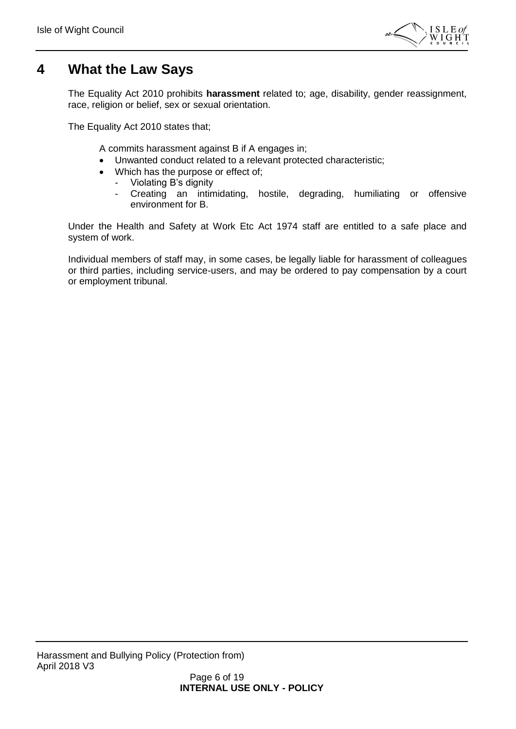

### <span id="page-5-0"></span>**4 What the Law Says**

The Equality Act 2010 prohibits **harassment** related to; age, disability, gender reassignment, race, religion or belief, sex or sexual orientation.

The Equality Act 2010 states that;

A commits harassment against B if A engages in;

- Unwanted conduct related to a relevant protected characteristic;
- Which has the purpose or effect of;
	- Violating B's dignity
	- Creating an intimidating, hostile, degrading, humiliating or offensive environment for B.

Under the Health and Safety at Work Etc Act 1974 staff are entitled to a safe place and system of work.

Individual members of staff may, in some cases, be legally liable for harassment of colleagues or third parties, including service-users, and may be ordered to pay compensation by a court or employment tribunal.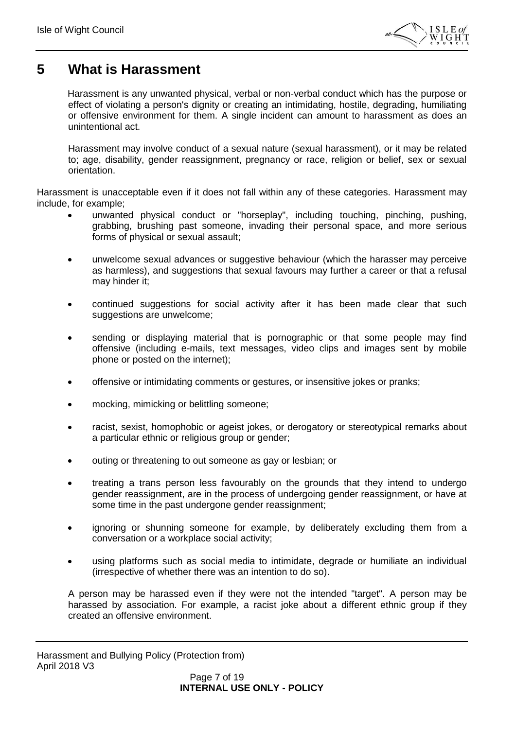

### <span id="page-6-0"></span>**5 What is Harassment**

Harassment is any unwanted physical, verbal or non-verbal conduct which has the purpose or effect of violating a person's dignity or creating an intimidating, hostile, degrading, humiliating or offensive environment for them. A single incident can amount to harassment as does an unintentional act.

Harassment may involve conduct of a sexual nature (sexual harassment), or it may be related to; age, disability, gender reassignment, pregnancy or race, religion or belief, sex or sexual orientation.

Harassment is unacceptable even if it does not fall within any of these categories. Harassment may include, for example;

- unwanted physical conduct or "horseplay", including touching, pinching, pushing, grabbing, brushing past someone, invading their personal space, and more serious forms of physical or sexual assault;
- unwelcome sexual advances or suggestive behaviour (which the harasser may perceive as harmless), and suggestions that sexual favours may further a career or that a refusal may hinder it;
- continued suggestions for social activity after it has been made clear that such suggestions are unwelcome;
- sending or displaying material that is pornographic or that some people may find offensive (including e-mails, text messages, video clips and images sent by mobile phone or posted on the internet);
- offensive or intimidating comments or gestures, or insensitive jokes or pranks;
- mocking, mimicking or belittling someone;
- racist, sexist, homophobic or ageist jokes, or derogatory or stereotypical remarks about a particular ethnic or religious group or gender;
- outing or threatening to out someone as gay or lesbian; or
- treating a trans person less favourably on the grounds that they intend to undergo gender reassignment, are in the process of undergoing gender reassignment, or have at some time in the past undergone gender reassignment;
- ignoring or shunning someone for example, by deliberately excluding them from a conversation or a workplace social activity;
- using platforms such as social media to intimidate, degrade or humiliate an individual (irrespective of whether there was an intention to do so).

A person may be harassed even if they were not the intended "target". A person may be harassed by association. For example, a racist joke about a different ethnic group if they created an offensive environment.

Harassment and Bullying Policy (Protection from) April 2018 V3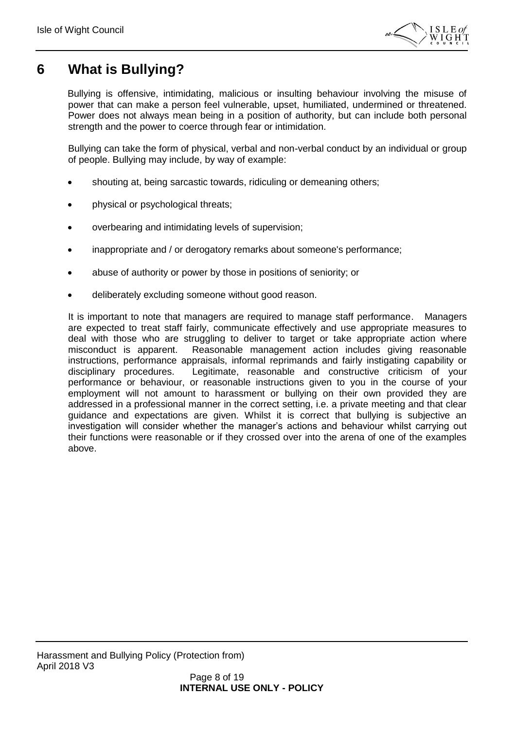

### <span id="page-7-0"></span>**6 What is Bullying?**

Bullying is offensive, intimidating, malicious or insulting behaviour involving the misuse of power that can make a person feel vulnerable, upset, humiliated, undermined or threatened. Power does not always mean being in a position of authority, but can include both personal strength and the power to coerce through fear or intimidation.

Bullying can take the form of physical, verbal and non-verbal conduct by an individual or group of people. Bullying may include, by way of example:

- shouting at, being sarcastic towards, ridiculing or demeaning others;
- physical or psychological threats;
- overbearing and intimidating levels of supervision;
- inappropriate and / or derogatory remarks about someone's performance;
- abuse of authority or power by those in positions of seniority; or
- deliberately excluding someone without good reason.

It is important to note that managers are required to manage staff performance. Managers are expected to treat staff fairly, communicate effectively and use appropriate measures to deal with those who are struggling to deliver to target or take appropriate action where misconduct is apparent. Reasonable management action includes giving reasonable instructions, performance appraisals, informal reprimands and fairly instigating capability or disciplinary procedures. Legitimate, reasonable and constructive criticism of your performance or behaviour, or reasonable instructions given to you in the course of your employment will not amount to harassment or bullying on their own provided they are addressed in a professional manner in the correct setting, i.e. a private meeting and that clear guidance and expectations are given. Whilst it is correct that bullying is subjective an investigation will consider whether the manager's actions and behaviour whilst carrying out their functions were reasonable or if they crossed over into the arena of one of the examples above.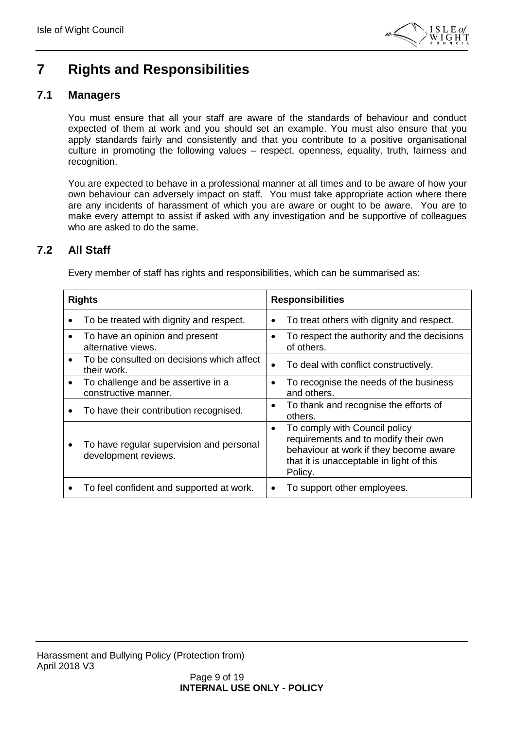

### <span id="page-8-0"></span>**7 Rights and Responsibilities**

### <span id="page-8-1"></span>**7.1 Managers**

You must ensure that all your staff are aware of the standards of behaviour and conduct expected of them at work and you should set an example. You must also ensure that you apply standards fairly and consistently and that you contribute to a positive organisational culture in promoting the following values – respect, openness, equality, truth, fairness and recognition.

You are expected to behave in a professional manner at all times and to be aware of how your own behaviour can adversely impact on staff. You must take appropriate action where there are any incidents of harassment of which you are aware or ought to be aware. You are to make every attempt to assist if asked with any investigation and be supportive of colleagues who are asked to do the same.

### <span id="page-8-2"></span>**7.2 All Staff**

Every member of staff has rights and responsibilities, which can be summarised as:

| <b>Rights</b> |                                                                  | <b>Responsibilities</b> |                                                                                                                                                                        |
|---------------|------------------------------------------------------------------|-------------------------|------------------------------------------------------------------------------------------------------------------------------------------------------------------------|
|               | To be treated with dignity and respect.                          | $\bullet$               | To treat others with dignity and respect.                                                                                                                              |
| ٠             | To have an opinion and present<br>alternative views.             | $\bullet$               | To respect the authority and the decisions<br>of others.                                                                                                               |
| $\bullet$     | To be consulted on decisions which affect<br>their work.         | $\bullet$               | To deal with conflict constructively.                                                                                                                                  |
| $\bullet$     | To challenge and be assertive in a<br>constructive manner.       | $\bullet$               | To recognise the needs of the business<br>and others.                                                                                                                  |
|               | To have their contribution recognised.                           | $\bullet$               | To thank and recognise the efforts of<br>others.                                                                                                                       |
|               | To have regular supervision and personal<br>development reviews. | ٠                       | To comply with Council policy<br>requirements and to modify their own<br>behaviour at work if they become aware<br>that it is unacceptable in light of this<br>Policy. |
|               | To feel confident and supported at work.                         | ٠                       | To support other employees.                                                                                                                                            |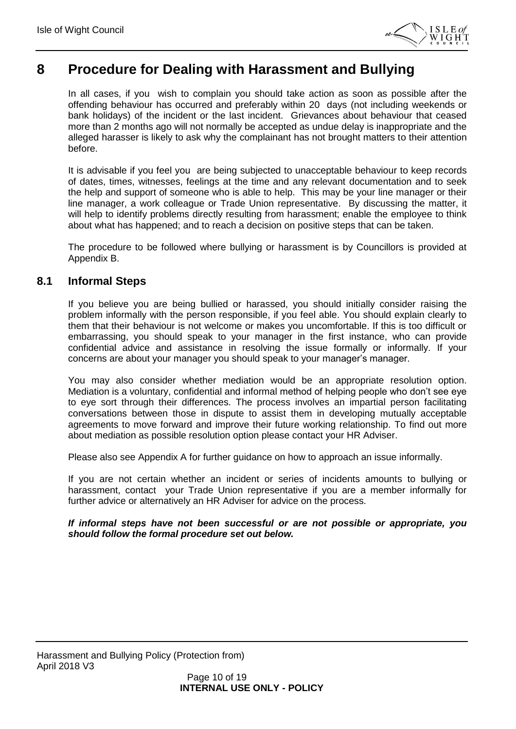

### <span id="page-9-0"></span>**8 Procedure for Dealing with Harassment and Bullying**

In all cases, if you wish to complain you should take action as soon as possible after the offending behaviour has occurred and preferably within 20 days (not including weekends or bank holidays) of the incident or the last incident. Grievances about behaviour that ceased more than 2 months ago will not normally be accepted as undue delay is inappropriate and the alleged harasser is likely to ask why the complainant has not brought matters to their attention before.

It is advisable if you feel you are being subjected to unacceptable behaviour to keep records of dates, times, witnesses, feelings at the time and any relevant documentation and to seek the help and support of someone who is able to help. This may be your line manager or their line manager, a work colleague or Trade Union representative. By discussing the matter, it will help to identify problems directly resulting from harassment; enable the employee to think about what has happened; and to reach a decision on positive steps that can be taken.

The procedure to be followed where bullying or harassment is by Councillors is provided at Appendix B.

#### <span id="page-9-1"></span>**8.1 Informal Steps**

If you believe you are being bullied or harassed, you should initially consider raising the problem informally with the person responsible, if you feel able. You should explain clearly to them that their behaviour is not welcome or makes you uncomfortable. If this is too difficult or embarrassing, you should speak to your manager in the first instance, who can provide confidential advice and assistance in resolving the issue formally or informally. If your concerns are about your manager you should speak to your manager's manager.

You may also consider whether mediation would be an appropriate resolution option. Mediation is a voluntary, confidential and informal method of helping people who don't see eye to eye sort through their differences. The process involves an impartial person facilitating conversations between those in dispute to assist them in developing mutually acceptable agreements to move forward and improve their future working relationship. To find out more about mediation as possible resolution option please contact your HR Adviser.

Please also see Appendix A for further guidance on how to approach an issue informally.

If you are not certain whether an incident or series of incidents amounts to bullying or harassment, contact your Trade Union representative if you are a member informally for further advice or alternatively an HR Adviser for advice on the process.

#### *If informal steps have not been successful or are not possible or appropriate, you should follow the formal procedure set out below.*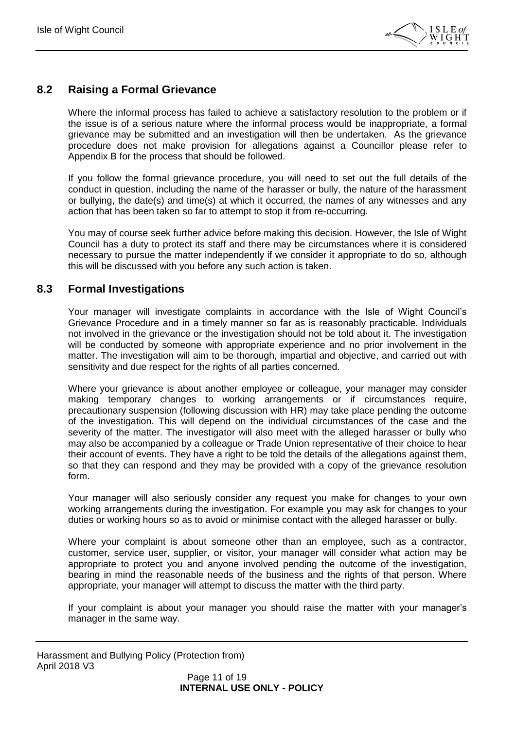

### <span id="page-10-0"></span>**8.2 Raising a Formal Grievance**

Where the informal process has failed to achieve a satisfactory resolution to the problem or if the issue is of a serious nature where the informal process would be inappropriate, a formal grievance may be submitted and an investigation will then be undertaken. As the grievance procedure does not make provision for allegations against a Councillor please refer to Appendix B for the process that should be followed.

If you follow the formal grievance procedure, you will need to set out the full details of the conduct in question, including the name of the harasser or bully, the nature of the harassment or bullying, the date(s) and time(s) at which it occurred, the names of any witnesses and any action that has been taken so far to attempt to stop it from re-occurring.

You may of course seek further advice before making this decision. However, the Isle of Wight Council has a duty to protect its staff and there may be circumstances where it is considered necessary to pursue the matter independently if we consider it appropriate to do so, although this will be discussed with you before any such action is taken.

#### <span id="page-10-1"></span>**8.3 Formal Investigations**

Your manager will investigate complaints in accordance with the Isle of Wight Council's Grievance Procedure and in a timely manner so far as is reasonably practicable. Individuals not involved in the grievance or the investigation should not be told about it. The investigation will be conducted by someone with appropriate experience and no prior involvement in the matter. The investigation will aim to be thorough, impartial and objective, and carried out with sensitivity and due respect for the rights of all parties concerned.

Where your grievance is about another employee or colleague, your manager may consider making temporary changes to working arrangements or if circumstances require, precautionary suspension (following discussion with HR) may take place pending the outcome of the investigation. This will depend on the individual circumstances of the case and the severity of the matter. The investigator will also meet with the alleged harasser or bully who may also be accompanied by a colleague or Trade Union representative of their choice to hear their account of events. They have a right to be told the details of the allegations against them, so that they can respond and they may be provided with a copy of the grievance resolution form.

Your manager will also seriously consider any request you make for changes to your own working arrangements during the investigation. For example you may ask for changes to your duties or working hours so as to avoid or minimise contact with the alleged harasser or bully.

Where your complaint is about someone other than an employee, such as a contractor, customer, service user, supplier, or visitor, your manager will consider what action may be appropriate to protect you and anyone involved pending the outcome of the investigation, bearing in mind the reasonable needs of the business and the rights of that person. Where appropriate, your manager will attempt to discuss the matter with the third party.

If your complaint is about your manager you should raise the matter with your manager's manager in the same way.

Harassment and Bullying Policy (Protection from) April 2018 V3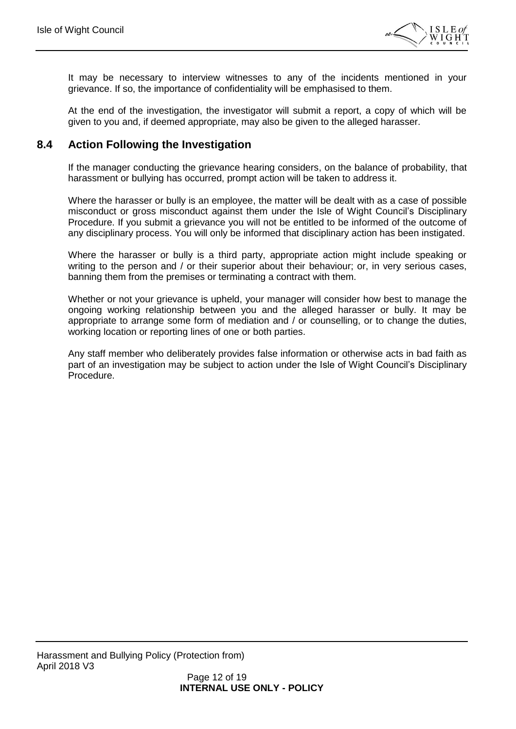

It may be necessary to interview witnesses to any of the incidents mentioned in your grievance. If so, the importance of confidentiality will be emphasised to them.

At the end of the investigation, the investigator will submit a report, a copy of which will be given to you and, if deemed appropriate, may also be given to the alleged harasser.

### <span id="page-11-0"></span>**8.4 Action Following the Investigation**

If the manager conducting the grievance hearing considers, on the balance of probability, that harassment or bullying has occurred, prompt action will be taken to address it.

Where the harasser or bully is an employee, the matter will be dealt with as a case of possible misconduct or gross misconduct against them under the Isle of Wight Council's Disciplinary Procedure. If you submit a grievance you will not be entitled to be informed of the outcome of any disciplinary process. You will only be informed that disciplinary action has been instigated.

Where the harasser or bully is a third party, appropriate action might include speaking or writing to the person and / or their superior about their behaviour; or, in very serious cases, banning them from the premises or terminating a contract with them.

Whether or not your grievance is upheld, your manager will consider how best to manage the ongoing working relationship between you and the alleged harasser or bully. It may be appropriate to arrange some form of mediation and / or counselling, or to change the duties, working location or reporting lines of one or both parties.

Any staff member who deliberately provides false information or otherwise acts in bad faith as part of an investigation may be subject to action under the Isle of Wight Council's Disciplinary Procedure.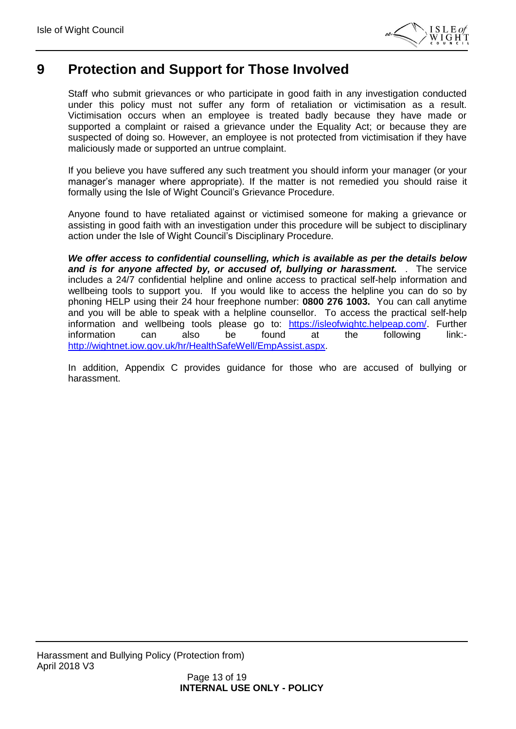

### <span id="page-12-0"></span>**9 Protection and Support for Those Involved**

Staff who submit grievances or who participate in good faith in any investigation conducted under this policy must not suffer any form of retaliation or victimisation as a result. Victimisation occurs when an employee is treated badly because they have made or supported a complaint or raised a grievance under the Equality Act; or because they are suspected of doing so. However, an employee is not protected from victimisation if they have maliciously made or supported an untrue complaint.

If you believe you have suffered any such treatment you should inform your manager (or your manager's manager where appropriate). If the matter is not remedied you should raise it formally using the Isle of Wight Council's Grievance Procedure.

Anyone found to have retaliated against or victimised someone for making a grievance or assisting in good faith with an investigation under this procedure will be subject to disciplinary action under the Isle of Wight Council's Disciplinary Procedure.

*We offer access to confidential counselling, which is available as per the details below and is for anyone affected by, or accused of, bullying or harassment.* . The service includes a 24/7 confidential helpline and online access to practical self-help information and wellbeing tools to support you. If you would like to access the helpline you can do so by phoning HELP using their 24 hour freephone number: **0800 276 1003.** You can call anytime and you will be able to speak with a helpline counsellor. To access the practical self-help information and wellbeing tools please go to: [https://isleofwightc.helpeap.com/.](https://isleofwightc.helpeap.com/) Further information can also be found at the following link: [http://wightnet.iow.gov.uk/hr/HealthSafeWell/EmpAssist.aspx.](http://wightnet.iow.gov.uk/hr/HealthSafeWell/EmpAssist.aspx)

In addition, Appendix C provides guidance for those who are accused of bullying or harassment.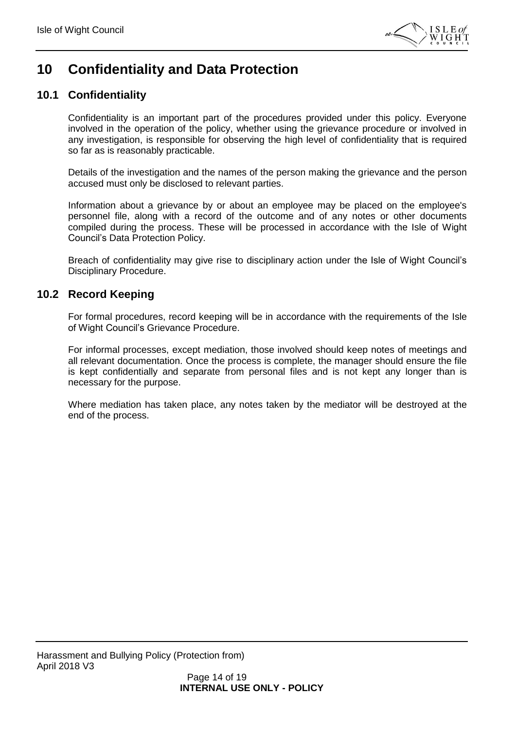

### <span id="page-13-0"></span>**10 Confidentiality and Data Protection**

### <span id="page-13-1"></span>**10.1 Confidentiality**

Confidentiality is an important part of the procedures provided under this policy. Everyone involved in the operation of the policy, whether using the grievance procedure or involved in any investigation, is responsible for observing the high level of confidentiality that is required so far as is reasonably practicable.

Details of the investigation and the names of the person making the grievance and the person accused must only be disclosed to relevant parties.

Information about a grievance by or about an employee may be placed on the employee's personnel file, along with a record of the outcome and of any notes or other documents compiled during the process. These will be processed in accordance with the Isle of Wight Council's Data Protection Policy.

Breach of confidentiality may give rise to disciplinary action under the Isle of Wight Council's Disciplinary Procedure.

#### <span id="page-13-2"></span>**10.2 Record Keeping**

For formal procedures, record keeping will be in accordance with the requirements of the Isle of Wight Council's Grievance Procedure.

For informal processes, except mediation, those involved should keep notes of meetings and all relevant documentation. Once the process is complete, the manager should ensure the file is kept confidentially and separate from personal files and is not kept any longer than is necessary for the purpose.

Where mediation has taken place, any notes taken by the mediator will be destroyed at the end of the process.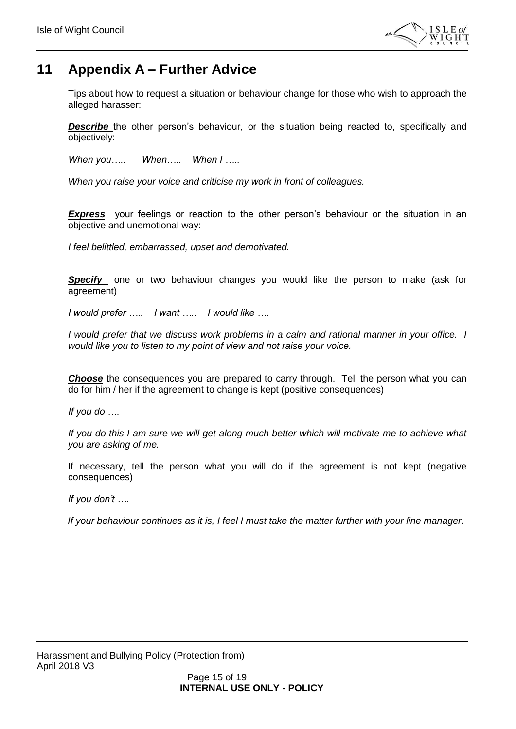

### <span id="page-14-0"></span>**11 Appendix A – Further Advice**

Tips about how to request a situation or behaviour change for those who wish to approach the alleged harasser:

**Describe** the other person's behaviour, or the situation being reacted to, specifically and objectively:

*When you….. When….. When I …..*

*When you raise your voice and criticise my work in front of colleagues.*

**Express** your feelings or reaction to the other person's behaviour or the situation in an objective and unemotional way:

*I feel belittled, embarrassed, upset and demotivated.*

**Specify** one or two behaviour changes you would like the person to make (ask for agreement)

*I would prefer ….. I want ….. I would like ….*

*I would prefer that we discuss work problems in a calm and rational manner in your office. I would like you to listen to my point of view and not raise your voice.*

**Choose** the consequences you are prepared to carry through. Tell the person what you can do for him / her if the agreement to change is kept (positive consequences)

*If you do ….*

*If you do this I am sure we will get along much better which will motivate me to achieve what you are asking of me.*

If necessary, tell the person what you will do if the agreement is not kept (negative consequences)

*If you don't ….*

*If your behaviour continues as it is, I feel I must take the matter further with your line manager.*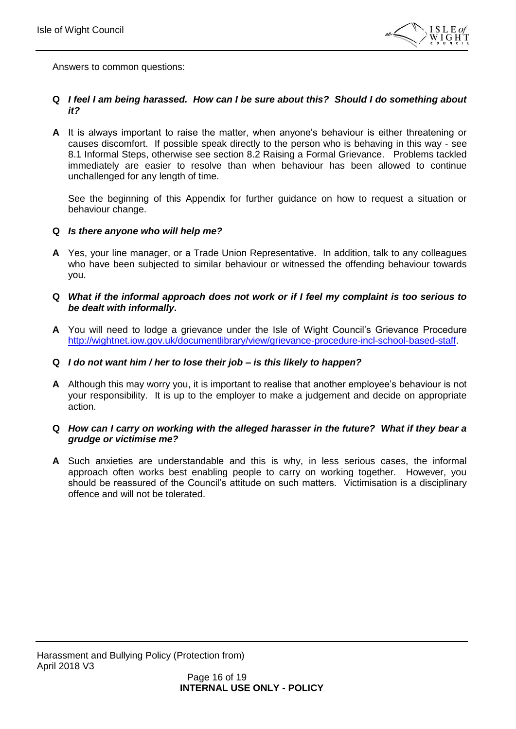

Answers to common questions:

#### **Q** *I feel I am being harassed. How can I be sure about this? Should I do something about it?*

**A** It is always important to raise the matter, when anyone's behaviour is either threatening or causes discomfort. If possible speak directly to the person who is behaving in this way - see 8.1 Informal Steps, otherwise see section 8.2 Raising a Formal Grievance. Problems tackled immediately are easier to resolve than when behaviour has been allowed to continue unchallenged for any length of time.

See the beginning of this Appendix for further guidance on how to request a situation or behaviour change.

#### **Q** *Is there anyone who will help me?*

**A** Yes, your line manager, or a Trade Union Representative. In addition, talk to any colleagues who have been subjected to similar behaviour or witnessed the offending behaviour towards you.

#### **Q** *What if the informal approach does not work or if I feel my complaint is too serious to be dealt with informally***.**

**A** You will need to lodge a grievance under the Isle of Wight Council's Grievance Procedure [http://wightnet.iow.gov.uk/documentlibrary/view/grievance-procedure-incl-school-based-staff.](http://wightnet.iow.gov.uk/documentlibrary/view/grievance-procedure-incl-school-based-staff)

#### **Q** *I do not want him / her to lose their job – is this likely to happen?*

**A** Although this may worry you, it is important to realise that another employee's behaviour is not your responsibility. It is up to the employer to make a judgement and decide on appropriate action.

#### **Q** *How can I carry on working with the alleged harasser in the future? What if they bear a grudge or victimise me?*

**A** Such anxieties are understandable and this is why, in less serious cases, the informal approach often works best enabling people to carry on working together. However, you should be reassured of the Council's attitude on such matters. Victimisation is a disciplinary offence and will not be tolerated.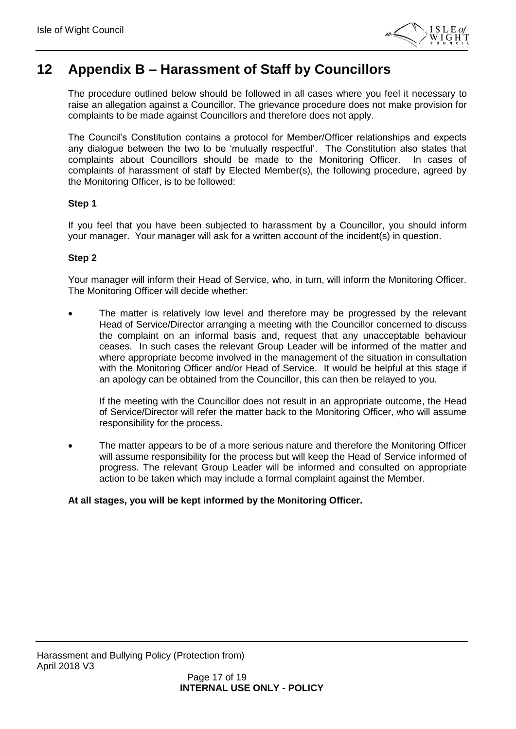

### <span id="page-16-0"></span>**12 Appendix B – Harassment of Staff by Councillors**

The procedure outlined below should be followed in all cases where you feel it necessary to raise an allegation against a Councillor. The grievance procedure does not make provision for complaints to be made against Councillors and therefore does not apply.

The Council's Constitution contains a protocol for Member/Officer relationships and expects any dialogue between the two to be 'mutually respectful'. The Constitution also states that complaints about Councillors should be made to the Monitoring Officer. In cases of complaints of harassment of staff by Elected Member(s), the following procedure, agreed by the Monitoring Officer, is to be followed:

#### **Step 1**

If you feel that you have been subjected to harassment by a Councillor, you should inform your manager. Your manager will ask for a written account of the incident(s) in question.

#### **Step 2**

Your manager will inform their Head of Service, who, in turn, will inform the Monitoring Officer. The Monitoring Officer will decide whether:

 The matter is relatively low level and therefore may be progressed by the relevant Head of Service/Director arranging a meeting with the Councillor concerned to discuss the complaint on an informal basis and, request that any unacceptable behaviour ceases. In such cases the relevant Group Leader will be informed of the matter and where appropriate become involved in the management of the situation in consultation with the Monitoring Officer and/or Head of Service. It would be helpful at this stage if an apology can be obtained from the Councillor, this can then be relayed to you.

If the meeting with the Councillor does not result in an appropriate outcome, the Head of Service/Director will refer the matter back to the Monitoring Officer, who will assume responsibility for the process.

 The matter appears to be of a more serious nature and therefore the Monitoring Officer will assume responsibility for the process but will keep the Head of Service informed of progress. The relevant Group Leader will be informed and consulted on appropriate action to be taken which may include a formal complaint against the Member.

#### **At all stages, you will be kept informed by the Monitoring Officer.**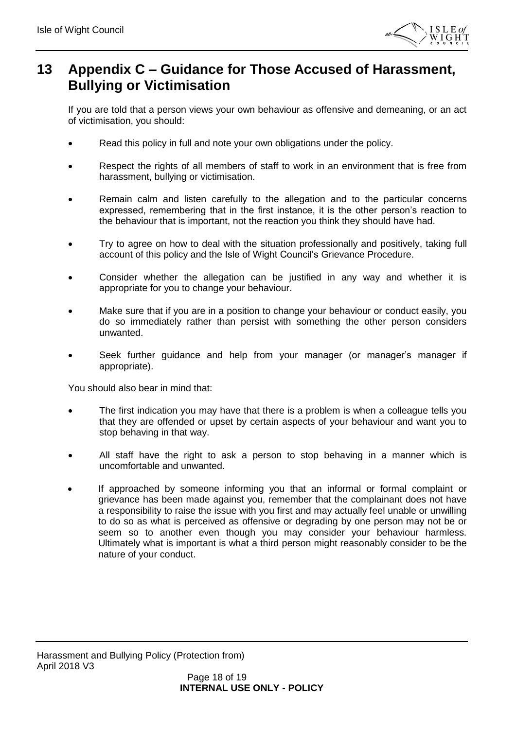

### <span id="page-17-0"></span>**13 Appendix C – Guidance for Those Accused of Harassment, Bullying or Victimisation**

If you are told that a person views your own behaviour as offensive and demeaning, or an act of victimisation, you should:

- Read this policy in full and note your own obligations under the policy.
- Respect the rights of all members of staff to work in an environment that is free from harassment, bullying or victimisation.
- Remain calm and listen carefully to the allegation and to the particular concerns expressed, remembering that in the first instance, it is the other person's reaction to the behaviour that is important, not the reaction you think they should have had.
- Try to agree on how to deal with the situation professionally and positively, taking full account of this policy and the Isle of Wight Council's Grievance Procedure.
- Consider whether the allegation can be justified in any way and whether it is appropriate for you to change your behaviour.
- Make sure that if you are in a position to change your behaviour or conduct easily, you do so immediately rather than persist with something the other person considers unwanted.
- Seek further guidance and help from your manager (or manager's manager if appropriate).

You should also bear in mind that:

- The first indication you may have that there is a problem is when a colleague tells you that they are offended or upset by certain aspects of your behaviour and want you to stop behaving in that way.
- All staff have the right to ask a person to stop behaving in a manner which is uncomfortable and unwanted.
- If approached by someone informing you that an informal or formal complaint or grievance has been made against you, remember that the complainant does not have a responsibility to raise the issue with you first and may actually feel unable or unwilling to do so as what is perceived as offensive or degrading by one person may not be or seem so to another even though you may consider your behaviour harmless. Ultimately what is important is what a third person might reasonably consider to be the nature of your conduct.